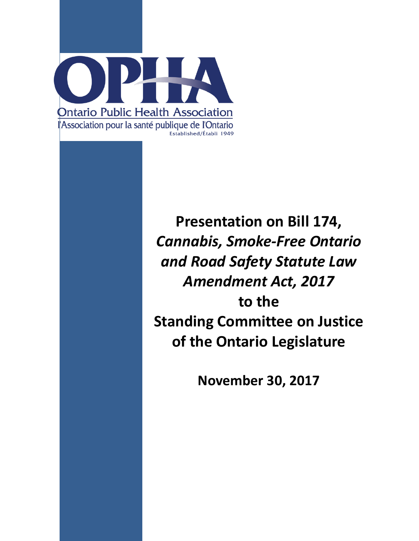

**Presentation on Bill 174,**  *Cannabis, Smoke-Free Ontario and Road Safety Statute Law Amendment Act, 2017* **to the Standing Committee on Justice of the Ontario Legislature**

**November 30, 2017**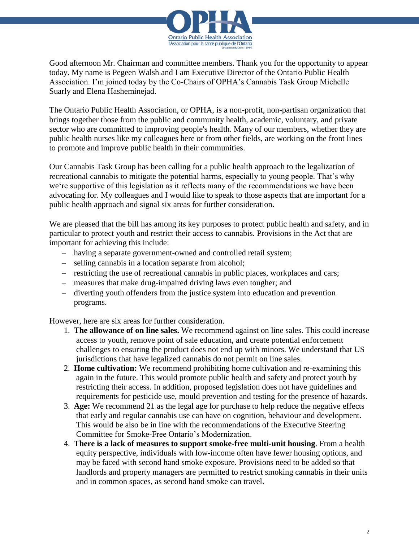

Good afternoon Mr. Chairman and committee members. Thank you for the opportunity to appear today. My name is Pegeen Walsh and I am Executive Director of the Ontario Public Health Association. I'm joined today by the Co-Chairs of OPHA's Cannabis Task Group Michelle Suarly and Elena Hasheminejad.

The Ontario Public Health Association, or OPHA, is a non-profit, non-partisan organization that brings together those from the public and community health, academic, voluntary, and private sector who are committed to improving people's health. Many of our members, whether they are public health nurses like my colleagues here or from other fields, are working on the front lines to promote and improve public health in their communities.

Our Cannabis Task Group has been calling for a public health approach to the legalization of recreational cannabis to mitigate the potential harms, especially to young people. That's why we're supportive of this legislation as it reflects many of the recommendations we have been advocating for. My colleagues and I would like to speak to those aspects that are important for a public health approach and signal six areas for further consideration.

We are pleased that the bill has among its key purposes to protect public health and safety, and in particular to protect youth and restrict their access to cannabis. Provisions in the Act that are important for achieving this include:

- having a separate government-owned and controlled retail system;
- selling cannabis in a location separate from alcohol;
- restricting the use of recreational cannabis in public places, workplaces and cars;
- measures that make drug-impaired driving laws even tougher; and
- diverting youth offenders from the justice system into education and prevention programs.

However, here are six areas for further consideration.

- 1. **The allowance of on line sales.** We recommend against on line sales. This could increase access to youth, remove point of sale education, and create potential enforcement challenges to ensuring the product does not end up with minors. We understand that US jurisdictions that have legalized cannabis do not permit on line sales.
- 2. **Home cultivation:** We recommend prohibiting home cultivation and re-examining this again in the future. This would promote public health and safety and protect youth by restricting their access. In addition, proposed legislation does not have guidelines and requirements for pesticide use, mould prevention and testing for the presence of hazards.
- 3. **Age:** We recommend 21 as the legal age for purchase to help reduce the negative effects that early and regular cannabis use can have on cognition, behaviour and development. This would be also be in line with the recommendations of the Executive Steering Committee for Smoke-Free Ontario's Modernization.
- 4. **There is a lack of measures to support smoke-free multi-unit housing**. From a health equity perspective, individuals with low-income often have fewer housing options, and may be faced with second hand smoke exposure. Provisions need to be added so that landlords and property managers are permitted to restrict smoking cannabis in their units and in common spaces, as second hand smoke can travel.